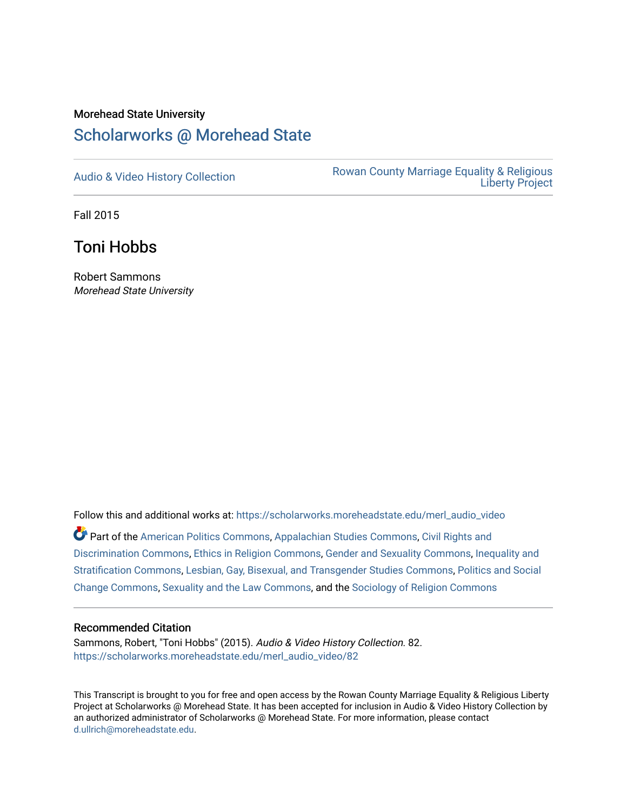## Morehead State University [Scholarworks @ Morehead State](https://scholarworks.moreheadstate.edu/)

[Audio & Video History Collection](https://scholarworks.moreheadstate.edu/merl_audio_video) **Rowan County Marriage Equality & Religious** [Liberty Project](https://scholarworks.moreheadstate.edu/merl) 

Fall 2015

Toni Hobbs

Robert Sammons Morehead State University

Follow this and additional works at: [https://scholarworks.moreheadstate.edu/merl\\_audio\\_video](https://scholarworks.moreheadstate.edu/merl_audio_video?utm_source=scholarworks.moreheadstate.edu%2Fmerl_audio_video%2F82&utm_medium=PDF&utm_campaign=PDFCoverPages)  Part of the [American Politics Commons,](http://network.bepress.com/hgg/discipline/387?utm_source=scholarworks.moreheadstate.edu%2Fmerl_audio_video%2F82&utm_medium=PDF&utm_campaign=PDFCoverPages) [Appalachian Studies Commons,](http://network.bepress.com/hgg/discipline/1253?utm_source=scholarworks.moreheadstate.edu%2Fmerl_audio_video%2F82&utm_medium=PDF&utm_campaign=PDFCoverPages) [Civil Rights and](http://network.bepress.com/hgg/discipline/585?utm_source=scholarworks.moreheadstate.edu%2Fmerl_audio_video%2F82&utm_medium=PDF&utm_campaign=PDFCoverPages) [Discrimination Commons,](http://network.bepress.com/hgg/discipline/585?utm_source=scholarworks.moreheadstate.edu%2Fmerl_audio_video%2F82&utm_medium=PDF&utm_campaign=PDFCoverPages) [Ethics in Religion Commons,](http://network.bepress.com/hgg/discipline/541?utm_source=scholarworks.moreheadstate.edu%2Fmerl_audio_video%2F82&utm_medium=PDF&utm_campaign=PDFCoverPages) [Gender and Sexuality Commons](http://network.bepress.com/hgg/discipline/420?utm_source=scholarworks.moreheadstate.edu%2Fmerl_audio_video%2F82&utm_medium=PDF&utm_campaign=PDFCoverPages), [Inequality and](http://network.bepress.com/hgg/discipline/421?utm_source=scholarworks.moreheadstate.edu%2Fmerl_audio_video%2F82&utm_medium=PDF&utm_campaign=PDFCoverPages)  [Stratification Commons](http://network.bepress.com/hgg/discipline/421?utm_source=scholarworks.moreheadstate.edu%2Fmerl_audio_video%2F82&utm_medium=PDF&utm_campaign=PDFCoverPages), [Lesbian, Gay, Bisexual, and Transgender Studies Commons,](http://network.bepress.com/hgg/discipline/560?utm_source=scholarworks.moreheadstate.edu%2Fmerl_audio_video%2F82&utm_medium=PDF&utm_campaign=PDFCoverPages) [Politics and Social](http://network.bepress.com/hgg/discipline/425?utm_source=scholarworks.moreheadstate.edu%2Fmerl_audio_video%2F82&utm_medium=PDF&utm_campaign=PDFCoverPages)  [Change Commons](http://network.bepress.com/hgg/discipline/425?utm_source=scholarworks.moreheadstate.edu%2Fmerl_audio_video%2F82&utm_medium=PDF&utm_campaign=PDFCoverPages), [Sexuality and the Law Commons,](http://network.bepress.com/hgg/discipline/877?utm_source=scholarworks.moreheadstate.edu%2Fmerl_audio_video%2F82&utm_medium=PDF&utm_campaign=PDFCoverPages) and the [Sociology of Religion Commons](http://network.bepress.com/hgg/discipline/1365?utm_source=scholarworks.moreheadstate.edu%2Fmerl_audio_video%2F82&utm_medium=PDF&utm_campaign=PDFCoverPages) 

## Recommended Citation

Sammons, Robert, "Toni Hobbs" (2015). Audio & Video History Collection. 82. [https://scholarworks.moreheadstate.edu/merl\\_audio\\_video/82](https://scholarworks.moreheadstate.edu/merl_audio_video/82?utm_source=scholarworks.moreheadstate.edu%2Fmerl_audio_video%2F82&utm_medium=PDF&utm_campaign=PDFCoverPages)

This Transcript is brought to you for free and open access by the Rowan County Marriage Equality & Religious Liberty Project at Scholarworks @ Morehead State. It has been accepted for inclusion in Audio & Video History Collection by an authorized administrator of Scholarworks @ Morehead State. For more information, please contact [d.ullrich@moreheadstate.edu.](mailto:d.ullrich@moreheadstate.edu)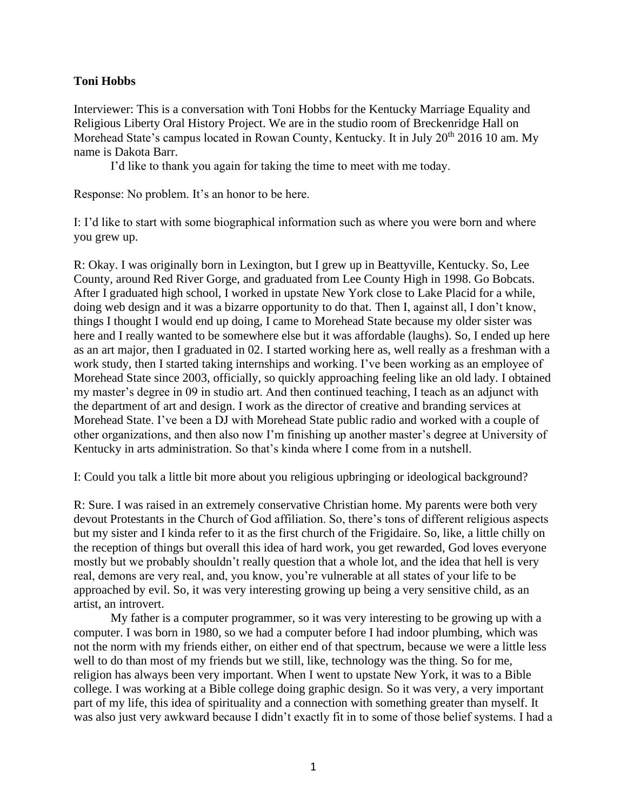## **Toni Hobbs**

Interviewer: This is a conversation with Toni Hobbs for the Kentucky Marriage Equality and Religious Liberty Oral History Project. We are in the studio room of Breckenridge Hall on Morehead State's campus located in Rowan County, Kentucky. It in July 20<sup>th</sup> 2016 10 am. My name is Dakota Barr.

I'd like to thank you again for taking the time to meet with me today.

Response: No problem. It's an honor to be here.

I: I'd like to start with some biographical information such as where you were born and where you grew up.

R: Okay. I was originally born in Lexington, but I grew up in Beattyville, Kentucky. So, Lee County, around Red River Gorge, and graduated from Lee County High in 1998. Go Bobcats. After I graduated high school, I worked in upstate New York close to Lake Placid for a while, doing web design and it was a bizarre opportunity to do that. Then I, against all, I don't know, things I thought I would end up doing, I came to Morehead State because my older sister was here and I really wanted to be somewhere else but it was affordable (laughs). So, I ended up here as an art major, then I graduated in 02. I started working here as, well really as a freshman with a work study, then I started taking internships and working. I've been working as an employee of Morehead State since 2003, officially, so quickly approaching feeling like an old lady. I obtained my master's degree in 09 in studio art. And then continued teaching, I teach as an adjunct with the department of art and design. I work as the director of creative and branding services at Morehead State. I've been a DJ with Morehead State public radio and worked with a couple of other organizations, and then also now I'm finishing up another master's degree at University of Kentucky in arts administration. So that's kinda where I come from in a nutshell.

I: Could you talk a little bit more about you religious upbringing or ideological background?

R: Sure. I was raised in an extremely conservative Christian home. My parents were both very devout Protestants in the Church of God affiliation. So, there's tons of different religious aspects but my sister and I kinda refer to it as the first church of the Frigidaire. So, like, a little chilly on the reception of things but overall this idea of hard work, you get rewarded, God loves everyone mostly but we probably shouldn't really question that a whole lot, and the idea that hell is very real, demons are very real, and, you know, you're vulnerable at all states of your life to be approached by evil. So, it was very interesting growing up being a very sensitive child, as an artist, an introvert.

My father is a computer programmer, so it was very interesting to be growing up with a computer. I was born in 1980, so we had a computer before I had indoor plumbing, which was not the norm with my friends either, on either end of that spectrum, because we were a little less well to do than most of my friends but we still, like, technology was the thing. So for me, religion has always been very important. When I went to upstate New York, it was to a Bible college. I was working at a Bible college doing graphic design. So it was very, a very important part of my life, this idea of spirituality and a connection with something greater than myself. It was also just very awkward because I didn't exactly fit in to some of those belief systems. I had a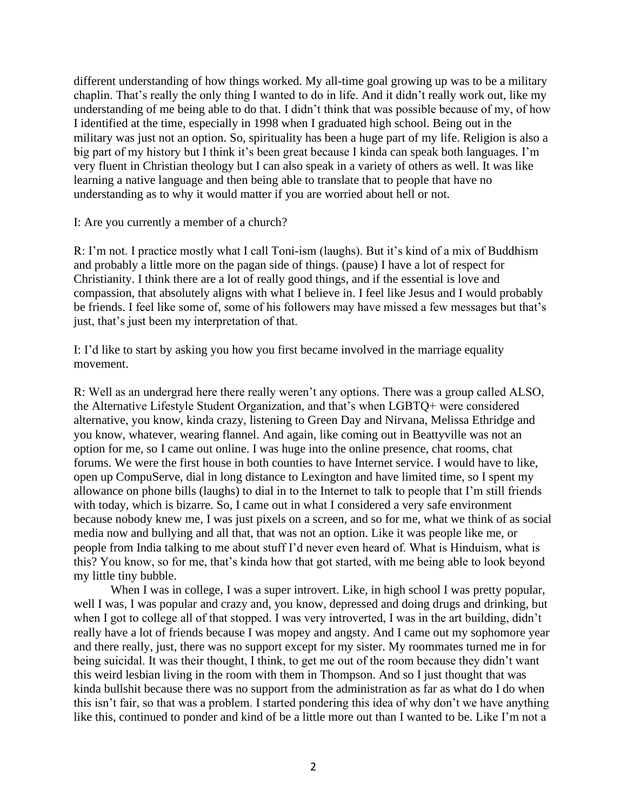different understanding of how things worked. My all-time goal growing up was to be a military chaplin. That's really the only thing I wanted to do in life. And it didn't really work out, like my understanding of me being able to do that. I didn't think that was possible because of my, of how I identified at the time, especially in 1998 when I graduated high school. Being out in the military was just not an option. So, spirituality has been a huge part of my life. Religion is also a big part of my history but I think it's been great because I kinda can speak both languages. I'm very fluent in Christian theology but I can also speak in a variety of others as well. It was like learning a native language and then being able to translate that to people that have no understanding as to why it would matter if you are worried about hell or not.

I: Are you currently a member of a church?

R: I'm not. I practice mostly what I call Toni-ism (laughs). But it's kind of a mix of Buddhism and probably a little more on the pagan side of things. (pause) I have a lot of respect for Christianity. I think there are a lot of really good things, and if the essential is love and compassion, that absolutely aligns with what I believe in. I feel like Jesus and I would probably be friends. I feel like some of, some of his followers may have missed a few messages but that's just, that's just been my interpretation of that.

I: I'd like to start by asking you how you first became involved in the marriage equality movement.

R: Well as an undergrad here there really weren't any options. There was a group called ALSO, the Alternative Lifestyle Student Organization, and that's when LGBTQ+ were considered alternative, you know, kinda crazy, listening to Green Day and Nirvana, Melissa Ethridge and you know, whatever, wearing flannel. And again, like coming out in Beattyville was not an option for me, so I came out online. I was huge into the online presence, chat rooms, chat forums. We were the first house in both counties to have Internet service. I would have to like, open up CompuServe, dial in long distance to Lexington and have limited time, so I spent my allowance on phone bills (laughs) to dial in to the Internet to talk to people that I'm still friends with today, which is bizarre. So, I came out in what I considered a very safe environment because nobody knew me, I was just pixels on a screen, and so for me, what we think of as social media now and bullying and all that, that was not an option. Like it was people like me, or people from India talking to me about stuff I'd never even heard of. What is Hinduism, what is this? You know, so for me, that's kinda how that got started, with me being able to look beyond my little tiny bubble.

When I was in college, I was a super introvert. Like, in high school I was pretty popular, well I was, I was popular and crazy and, you know, depressed and doing drugs and drinking, but when I got to college all of that stopped. I was very introverted, I was in the art building, didn't really have a lot of friends because I was mopey and angsty. And I came out my sophomore year and there really, just, there was no support except for my sister. My roommates turned me in for being suicidal. It was their thought, I think, to get me out of the room because they didn't want this weird lesbian living in the room with them in Thompson. And so I just thought that was kinda bullshit because there was no support from the administration as far as what do I do when this isn't fair, so that was a problem. I started pondering this idea of why don't we have anything like this, continued to ponder and kind of be a little more out than I wanted to be. Like I'm not a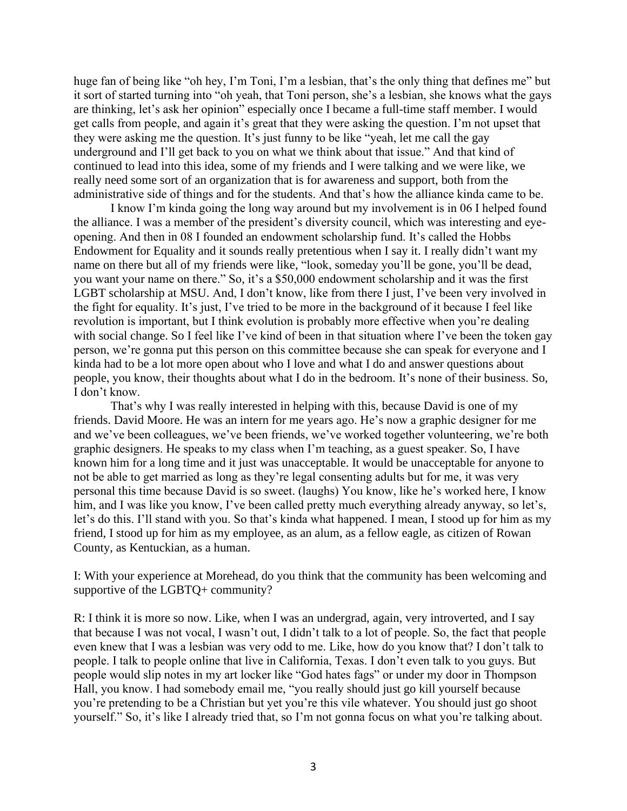huge fan of being like "oh hey, I'm Toni, I'm a lesbian, that's the only thing that defines me" but it sort of started turning into "oh yeah, that Toni person, she's a lesbian, she knows what the gays are thinking, let's ask her opinion" especially once I became a full-time staff member. I would get calls from people, and again it's great that they were asking the question. I'm not upset that they were asking me the question. It's just funny to be like "yeah, let me call the gay underground and I'll get back to you on what we think about that issue." And that kind of continued to lead into this idea, some of my friends and I were talking and we were like, we really need some sort of an organization that is for awareness and support, both from the administrative side of things and for the students. And that's how the alliance kinda came to be.

I know I'm kinda going the long way around but my involvement is in 06 I helped found the alliance. I was a member of the president's diversity council, which was interesting and eyeopening. And then in 08 I founded an endowment scholarship fund. It's called the Hobbs Endowment for Equality and it sounds really pretentious when I say it. I really didn't want my name on there but all of my friends were like, "look, someday you'll be gone, you'll be dead, you want your name on there." So, it's a \$50,000 endowment scholarship and it was the first LGBT scholarship at MSU. And, I don't know, like from there I just, I've been very involved in the fight for equality. It's just, I've tried to be more in the background of it because I feel like revolution is important, but I think evolution is probably more effective when you're dealing with social change. So I feel like I've kind of been in that situation where I've been the token gay person, we're gonna put this person on this committee because she can speak for everyone and I kinda had to be a lot more open about who I love and what I do and answer questions about people, you know, their thoughts about what I do in the bedroom. It's none of their business. So, I don't know.

That's why I was really interested in helping with this, because David is one of my friends. David Moore. He was an intern for me years ago. He's now a graphic designer for me and we've been colleagues, we've been friends, we've worked together volunteering, we're both graphic designers. He speaks to my class when I'm teaching, as a guest speaker. So, I have known him for a long time and it just was unacceptable. It would be unacceptable for anyone to not be able to get married as long as they're legal consenting adults but for me, it was very personal this time because David is so sweet. (laughs) You know, like he's worked here, I know him, and I was like you know, I've been called pretty much everything already anyway, so let's, let's do this. I'll stand with you. So that's kinda what happened. I mean, I stood up for him as my friend, I stood up for him as my employee, as an alum, as a fellow eagle, as citizen of Rowan County, as Kentuckian, as a human.

I: With your experience at Morehead, do you think that the community has been welcoming and supportive of the LGBTQ+ community?

R: I think it is more so now. Like, when I was an undergrad, again, very introverted, and I say that because I was not vocal, I wasn't out, I didn't talk to a lot of people. So, the fact that people even knew that I was a lesbian was very odd to me. Like, how do you know that? I don't talk to people. I talk to people online that live in California, Texas. I don't even talk to you guys. But people would slip notes in my art locker like "God hates fags" or under my door in Thompson Hall, you know. I had somebody email me, "you really should just go kill yourself because you're pretending to be a Christian but yet you're this vile whatever. You should just go shoot yourself." So, it's like I already tried that, so I'm not gonna focus on what you're talking about.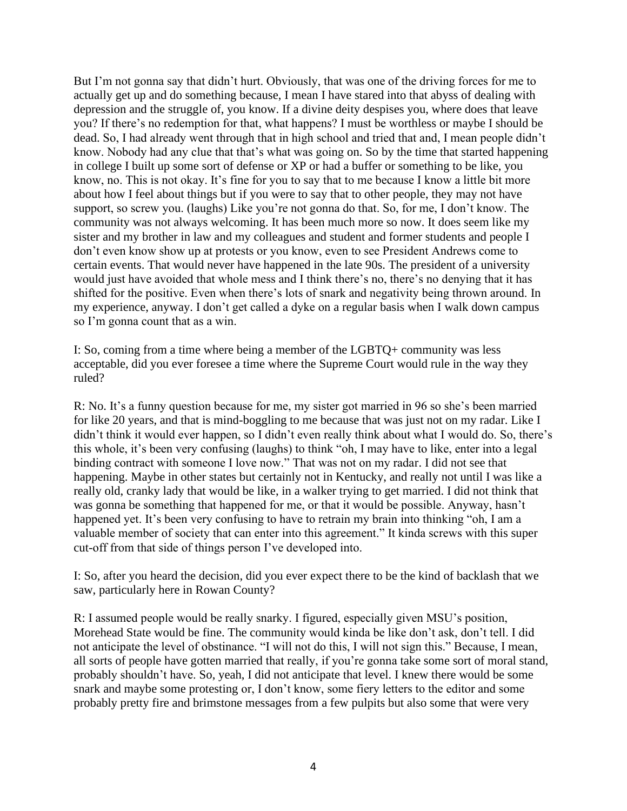But I'm not gonna say that didn't hurt. Obviously, that was one of the driving forces for me to actually get up and do something because, I mean I have stared into that abyss of dealing with depression and the struggle of, you know. If a divine deity despises you, where does that leave you? If there's no redemption for that, what happens? I must be worthless or maybe I should be dead. So, I had already went through that in high school and tried that and, I mean people didn't know. Nobody had any clue that that's what was going on. So by the time that started happening in college I built up some sort of defense or XP or had a buffer or something to be like, you know, no. This is not okay. It's fine for you to say that to me because I know a little bit more about how I feel about things but if you were to say that to other people, they may not have support, so screw you. (laughs) Like you're not gonna do that. So, for me, I don't know. The community was not always welcoming. It has been much more so now. It does seem like my sister and my brother in law and my colleagues and student and former students and people I don't even know show up at protests or you know, even to see President Andrews come to certain events. That would never have happened in the late 90s. The president of a university would just have avoided that whole mess and I think there's no, there's no denying that it has shifted for the positive. Even when there's lots of snark and negativity being thrown around. In my experience, anyway. I don't get called a dyke on a regular basis when I walk down campus so I'm gonna count that as a win.

I: So, coming from a time where being a member of the LGBTQ+ community was less acceptable, did you ever foresee a time where the Supreme Court would rule in the way they ruled?

R: No. It's a funny question because for me, my sister got married in 96 so she's been married for like 20 years, and that is mind-boggling to me because that was just not on my radar. Like I didn't think it would ever happen, so I didn't even really think about what I would do. So, there's this whole, it's been very confusing (laughs) to think "oh, I may have to like, enter into a legal binding contract with someone I love now." That was not on my radar. I did not see that happening. Maybe in other states but certainly not in Kentucky, and really not until I was like a really old, cranky lady that would be like, in a walker trying to get married. I did not think that was gonna be something that happened for me, or that it would be possible. Anyway, hasn't happened yet. It's been very confusing to have to retrain my brain into thinking "oh, I am a valuable member of society that can enter into this agreement." It kinda screws with this super cut-off from that side of things person I've developed into.

I: So, after you heard the decision, did you ever expect there to be the kind of backlash that we saw, particularly here in Rowan County?

R: I assumed people would be really snarky. I figured, especially given MSU's position, Morehead State would be fine. The community would kinda be like don't ask, don't tell. I did not anticipate the level of obstinance. "I will not do this, I will not sign this." Because, I mean, all sorts of people have gotten married that really, if you're gonna take some sort of moral stand, probably shouldn't have. So, yeah, I did not anticipate that level. I knew there would be some snark and maybe some protesting or, I don't know, some fiery letters to the editor and some probably pretty fire and brimstone messages from a few pulpits but also some that were very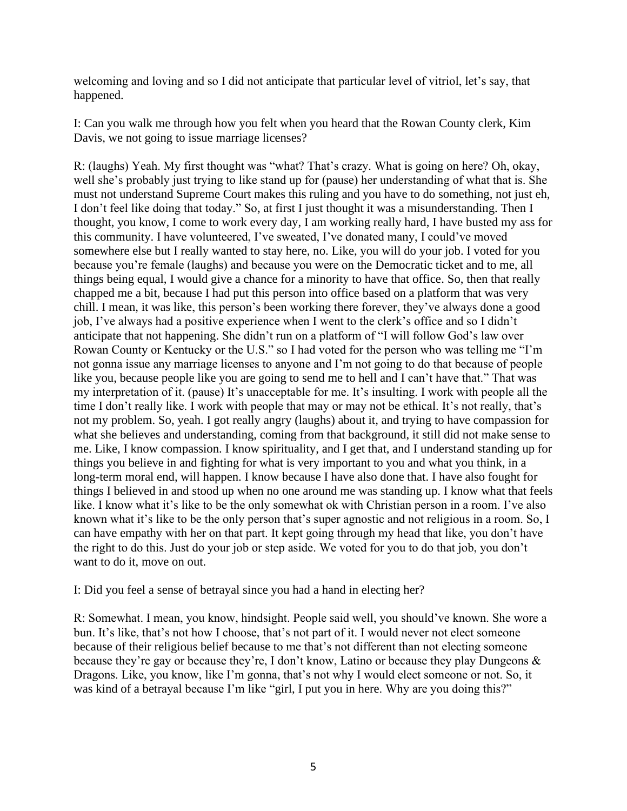welcoming and loving and so I did not anticipate that particular level of vitriol, let's say, that happened.

I: Can you walk me through how you felt when you heard that the Rowan County clerk, Kim Davis, we not going to issue marriage licenses?

R: (laughs) Yeah. My first thought was "what? That's crazy. What is going on here? Oh, okay, well she's probably just trying to like stand up for (pause) her understanding of what that is. She must not understand Supreme Court makes this ruling and you have to do something, not just eh, I don't feel like doing that today." So, at first I just thought it was a misunderstanding. Then I thought, you know, I come to work every day, I am working really hard, I have busted my ass for this community. I have volunteered, I've sweated, I've donated many, I could've moved somewhere else but I really wanted to stay here, no. Like, you will do your job. I voted for you because you're female (laughs) and because you were on the Democratic ticket and to me, all things being equal, I would give a chance for a minority to have that office. So, then that really chapped me a bit, because I had put this person into office based on a platform that was very chill. I mean, it was like, this person's been working there forever, they've always done a good job, I've always had a positive experience when I went to the clerk's office and so I didn't anticipate that not happening. She didn't run on a platform of "I will follow God's law over Rowan County or Kentucky or the U.S." so I had voted for the person who was telling me "I'm not gonna issue any marriage licenses to anyone and I'm not going to do that because of people like you, because people like you are going to send me to hell and I can't have that." That was my interpretation of it. (pause) It's unacceptable for me. It's insulting. I work with people all the time I don't really like. I work with people that may or may not be ethical. It's not really, that's not my problem. So, yeah. I got really angry (laughs) about it, and trying to have compassion for what she believes and understanding, coming from that background, it still did not make sense to me. Like, I know compassion. I know spirituality, and I get that, and I understand standing up for things you believe in and fighting for what is very important to you and what you think, in a long-term moral end, will happen. I know because I have also done that. I have also fought for things I believed in and stood up when no one around me was standing up. I know what that feels like. I know what it's like to be the only somewhat ok with Christian person in a room. I've also known what it's like to be the only person that's super agnostic and not religious in a room. So, I can have empathy with her on that part. It kept going through my head that like, you don't have the right to do this. Just do your job or step aside. We voted for you to do that job, you don't want to do it, move on out.

I: Did you feel a sense of betrayal since you had a hand in electing her?

R: Somewhat. I mean, you know, hindsight. People said well, you should've known. She wore a bun. It's like, that's not how I choose, that's not part of it. I would never not elect someone because of their religious belief because to me that's not different than not electing someone because they're gay or because they're, I don't know, Latino or because they play Dungeons & Dragons. Like, you know, like I'm gonna, that's not why I would elect someone or not. So, it was kind of a betrayal because I'm like "girl, I put you in here. Why are you doing this?"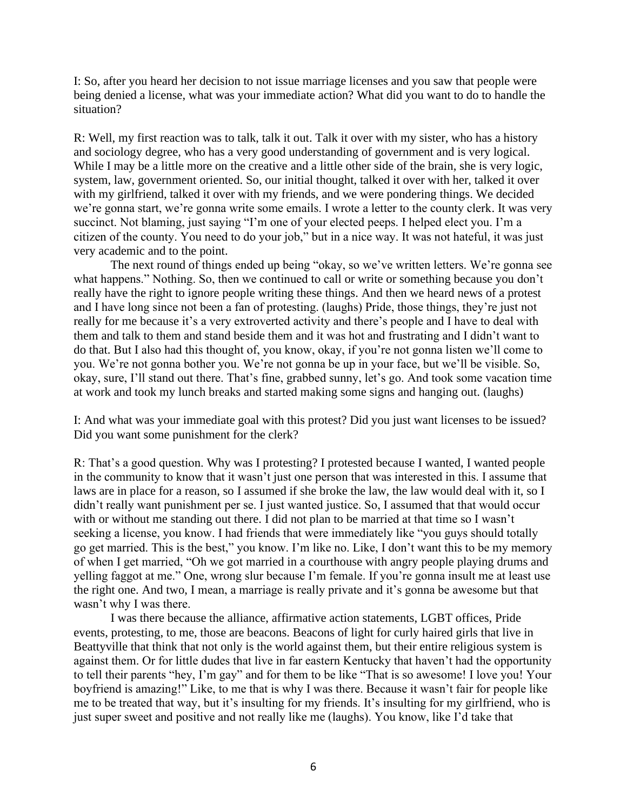I: So, after you heard her decision to not issue marriage licenses and you saw that people were being denied a license, what was your immediate action? What did you want to do to handle the situation?

R: Well, my first reaction was to talk, talk it out. Talk it over with my sister, who has a history and sociology degree, who has a very good understanding of government and is very logical. While I may be a little more on the creative and a little other side of the brain, she is very logic, system, law, government oriented. So, our initial thought, talked it over with her, talked it over with my girlfriend, talked it over with my friends, and we were pondering things. We decided we're gonna start, we're gonna write some emails. I wrote a letter to the county clerk. It was very succinct. Not blaming, just saying "I'm one of your elected peeps. I helped elect you. I'm a citizen of the county. You need to do your job," but in a nice way. It was not hateful, it was just very academic and to the point.

The next round of things ended up being "okay, so we've written letters. We're gonna see what happens." Nothing. So, then we continued to call or write or something because you don't really have the right to ignore people writing these things. And then we heard news of a protest and I have long since not been a fan of protesting. (laughs) Pride, those things, they're just not really for me because it's a very extroverted activity and there's people and I have to deal with them and talk to them and stand beside them and it was hot and frustrating and I didn't want to do that. But I also had this thought of, you know, okay, if you're not gonna listen we'll come to you. We're not gonna bother you. We're not gonna be up in your face, but we'll be visible. So, okay, sure, I'll stand out there. That's fine, grabbed sunny, let's go. And took some vacation time at work and took my lunch breaks and started making some signs and hanging out. (laughs)

I: And what was your immediate goal with this protest? Did you just want licenses to be issued? Did you want some punishment for the clerk?

R: That's a good question. Why was I protesting? I protested because I wanted, I wanted people in the community to know that it wasn't just one person that was interested in this. I assume that laws are in place for a reason, so I assumed if she broke the law, the law would deal with it, so I didn't really want punishment per se. I just wanted justice. So, I assumed that that would occur with or without me standing out there. I did not plan to be married at that time so I wasn't seeking a license, you know. I had friends that were immediately like "you guys should totally go get married. This is the best," you know. I'm like no. Like, I don't want this to be my memory of when I get married, "Oh we got married in a courthouse with angry people playing drums and yelling faggot at me." One, wrong slur because I'm female. If you're gonna insult me at least use the right one. And two, I mean, a marriage is really private and it's gonna be awesome but that wasn't why I was there.

I was there because the alliance, affirmative action statements, LGBT offices, Pride events, protesting, to me, those are beacons. Beacons of light for curly haired girls that live in Beattyville that think that not only is the world against them, but their entire religious system is against them. Or for little dudes that live in far eastern Kentucky that haven't had the opportunity to tell their parents "hey, I'm gay" and for them to be like "That is so awesome! I love you! Your boyfriend is amazing!" Like, to me that is why I was there. Because it wasn't fair for people like me to be treated that way, but it's insulting for my friends. It's insulting for my girlfriend, who is just super sweet and positive and not really like me (laughs). You know, like I'd take that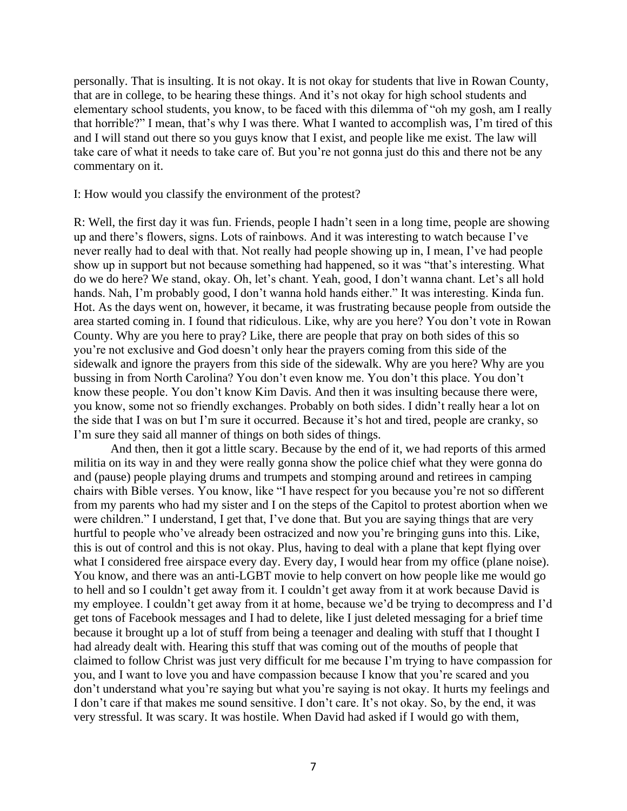personally. That is insulting. It is not okay. It is not okay for students that live in Rowan County, that are in college, to be hearing these things. And it's not okay for high school students and elementary school students, you know, to be faced with this dilemma of "oh my gosh, am I really that horrible?" I mean, that's why I was there. What I wanted to accomplish was, I'm tired of this and I will stand out there so you guys know that I exist, and people like me exist. The law will take care of what it needs to take care of. But you're not gonna just do this and there not be any commentary on it.

## I: How would you classify the environment of the protest?

R: Well, the first day it was fun. Friends, people I hadn't seen in a long time, people are showing up and there's flowers, signs. Lots of rainbows. And it was interesting to watch because I've never really had to deal with that. Not really had people showing up in, I mean, I've had people show up in support but not because something had happened, so it was "that's interesting. What do we do here? We stand, okay. Oh, let's chant. Yeah, good, I don't wanna chant. Let's all hold hands. Nah, I'm probably good, I don't wanna hold hands either." It was interesting. Kinda fun. Hot. As the days went on, however, it became, it was frustrating because people from outside the area started coming in. I found that ridiculous. Like, why are you here? You don't vote in Rowan County. Why are you here to pray? Like, there are people that pray on both sides of this so you're not exclusive and God doesn't only hear the prayers coming from this side of the sidewalk and ignore the prayers from this side of the sidewalk. Why are you here? Why are you bussing in from North Carolina? You don't even know me. You don't this place. You don't know these people. You don't know Kim Davis. And then it was insulting because there were, you know, some not so friendly exchanges. Probably on both sides. I didn't really hear a lot on the side that I was on but I'm sure it occurred. Because it's hot and tired, people are cranky, so I'm sure they said all manner of things on both sides of things.

And then, then it got a little scary. Because by the end of it, we had reports of this armed militia on its way in and they were really gonna show the police chief what they were gonna do and (pause) people playing drums and trumpets and stomping around and retirees in camping chairs with Bible verses. You know, like "I have respect for you because you're not so different from my parents who had my sister and I on the steps of the Capitol to protest abortion when we were children." I understand, I get that, I've done that. But you are saying things that are very hurtful to people who've already been ostracized and now you're bringing guns into this. Like, this is out of control and this is not okay. Plus, having to deal with a plane that kept flying over what I considered free airspace every day. Every day, I would hear from my office (plane noise). You know, and there was an anti-LGBT movie to help convert on how people like me would go to hell and so I couldn't get away from it. I couldn't get away from it at work because David is my employee. I couldn't get away from it at home, because we'd be trying to decompress and I'd get tons of Facebook messages and I had to delete, like I just deleted messaging for a brief time because it brought up a lot of stuff from being a teenager and dealing with stuff that I thought I had already dealt with. Hearing this stuff that was coming out of the mouths of people that claimed to follow Christ was just very difficult for me because I'm trying to have compassion for you, and I want to love you and have compassion because I know that you're scared and you don't understand what you're saying but what you're saying is not okay. It hurts my feelings and I don't care if that makes me sound sensitive. I don't care. It's not okay. So, by the end, it was very stressful. It was scary. It was hostile. When David had asked if I would go with them,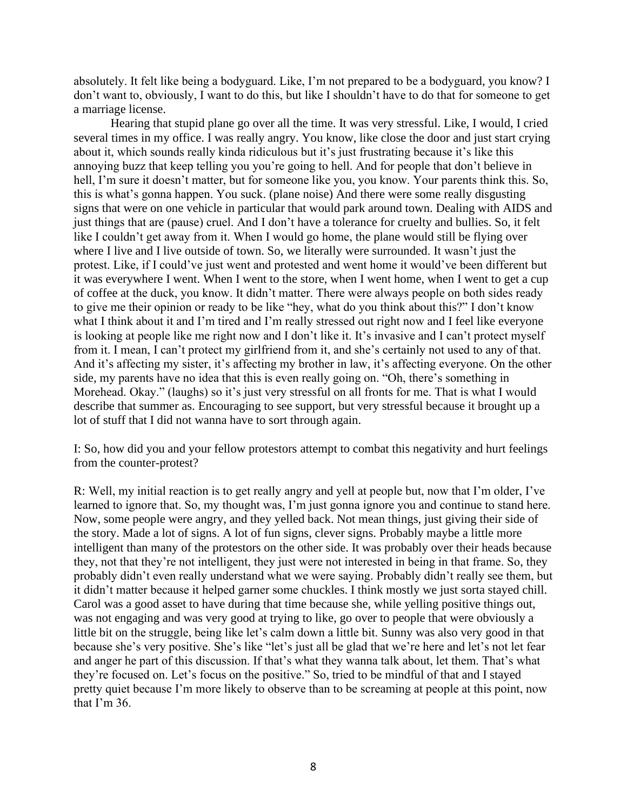absolutely. It felt like being a bodyguard. Like, I'm not prepared to be a bodyguard, you know? I don't want to, obviously, I want to do this, but like I shouldn't have to do that for someone to get a marriage license.

Hearing that stupid plane go over all the time. It was very stressful. Like, I would, I cried several times in my office. I was really angry. You know, like close the door and just start crying about it, which sounds really kinda ridiculous but it's just frustrating because it's like this annoying buzz that keep telling you you're going to hell. And for people that don't believe in hell, I'm sure it doesn't matter, but for someone like you, you know. Your parents think this. So, this is what's gonna happen. You suck. (plane noise) And there were some really disgusting signs that were on one vehicle in particular that would park around town. Dealing with AIDS and just things that are (pause) cruel. And I don't have a tolerance for cruelty and bullies. So, it felt like I couldn't get away from it. When I would go home, the plane would still be flying over where I live and I live outside of town. So, we literally were surrounded. It wasn't just the protest. Like, if I could've just went and protested and went home it would've been different but it was everywhere I went. When I went to the store, when I went home, when I went to get a cup of coffee at the duck, you know. It didn't matter. There were always people on both sides ready to give me their opinion or ready to be like "hey, what do you think about this?" I don't know what I think about it and I'm tired and I'm really stressed out right now and I feel like everyone is looking at people like me right now and I don't like it. It's invasive and I can't protect myself from it. I mean, I can't protect my girlfriend from it, and she's certainly not used to any of that. And it's affecting my sister, it's affecting my brother in law, it's affecting everyone. On the other side, my parents have no idea that this is even really going on. "Oh, there's something in Morehead. Okay." (laughs) so it's just very stressful on all fronts for me. That is what I would describe that summer as. Encouraging to see support, but very stressful because it brought up a lot of stuff that I did not wanna have to sort through again.

I: So, how did you and your fellow protestors attempt to combat this negativity and hurt feelings from the counter-protest?

R: Well, my initial reaction is to get really angry and yell at people but, now that I'm older, I've learned to ignore that. So, my thought was, I'm just gonna ignore you and continue to stand here. Now, some people were angry, and they yelled back. Not mean things, just giving their side of the story. Made a lot of signs. A lot of fun signs, clever signs. Probably maybe a little more intelligent than many of the protestors on the other side. It was probably over their heads because they, not that they're not intelligent, they just were not interested in being in that frame. So, they probably didn't even really understand what we were saying. Probably didn't really see them, but it didn't matter because it helped garner some chuckles. I think mostly we just sorta stayed chill. Carol was a good asset to have during that time because she, while yelling positive things out, was not engaging and was very good at trying to like, go over to people that were obviously a little bit on the struggle, being like let's calm down a little bit. Sunny was also very good in that because she's very positive. She's like "let's just all be glad that we're here and let's not let fear and anger he part of this discussion. If that's what they wanna talk about, let them. That's what they're focused on. Let's focus on the positive." So, tried to be mindful of that and I stayed pretty quiet because I'm more likely to observe than to be screaming at people at this point, now that I'm 36.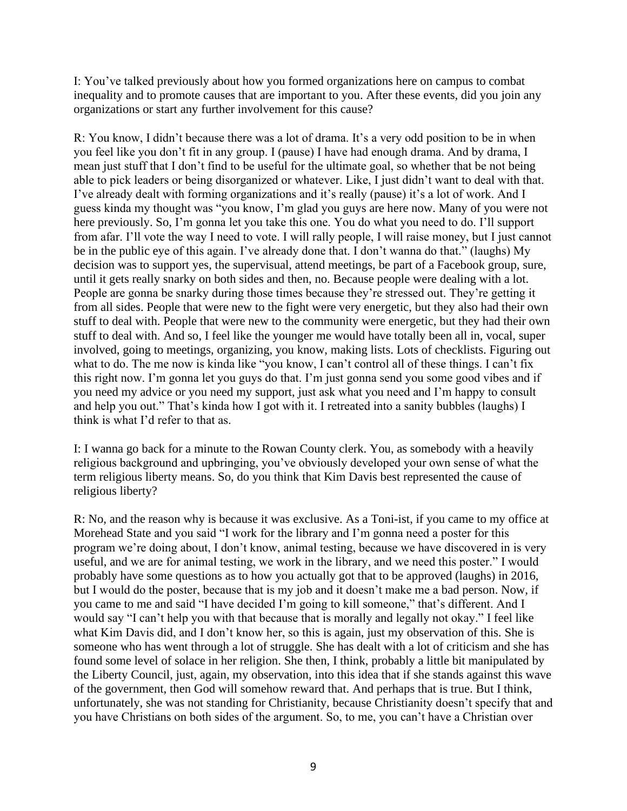I: You've talked previously about how you formed organizations here on campus to combat inequality and to promote causes that are important to you. After these events, did you join any organizations or start any further involvement for this cause?

R: You know, I didn't because there was a lot of drama. It's a very odd position to be in when you feel like you don't fit in any group. I (pause) I have had enough drama. And by drama, I mean just stuff that I don't find to be useful for the ultimate goal, so whether that be not being able to pick leaders or being disorganized or whatever. Like, I just didn't want to deal with that. I've already dealt with forming organizations and it's really (pause) it's a lot of work. And I guess kinda my thought was "you know, I'm glad you guys are here now. Many of you were not here previously. So, I'm gonna let you take this one. You do what you need to do. I'll support from afar. I'll vote the way I need to vote. I will rally people, I will raise money, but I just cannot be in the public eye of this again. I've already done that. I don't wanna do that." (laughs) My decision was to support yes, the supervisual, attend meetings, be part of a Facebook group, sure, until it gets really snarky on both sides and then, no. Because people were dealing with a lot. People are gonna be snarky during those times because they're stressed out. They're getting it from all sides. People that were new to the fight were very energetic, but they also had their own stuff to deal with. People that were new to the community were energetic, but they had their own stuff to deal with. And so, I feel like the younger me would have totally been all in, vocal, super involved, going to meetings, organizing, you know, making lists. Lots of checklists. Figuring out what to do. The me now is kinda like "you know, I can't control all of these things. I can't fix this right now. I'm gonna let you guys do that. I'm just gonna send you some good vibes and if you need my advice or you need my support, just ask what you need and I'm happy to consult and help you out." That's kinda how I got with it. I retreated into a sanity bubbles (laughs) I think is what I'd refer to that as.

I: I wanna go back for a minute to the Rowan County clerk. You, as somebody with a heavily religious background and upbringing, you've obviously developed your own sense of what the term religious liberty means. So, do you think that Kim Davis best represented the cause of religious liberty?

R: No, and the reason why is because it was exclusive. As a Toni-ist, if you came to my office at Morehead State and you said "I work for the library and I'm gonna need a poster for this program we're doing about, I don't know, animal testing, because we have discovered in is very useful, and we are for animal testing, we work in the library, and we need this poster." I would probably have some questions as to how you actually got that to be approved (laughs) in 2016, but I would do the poster, because that is my job and it doesn't make me a bad person. Now, if you came to me and said "I have decided I'm going to kill someone," that's different. And I would say "I can't help you with that because that is morally and legally not okay." I feel like what Kim Davis did, and I don't know her, so this is again, just my observation of this. She is someone who has went through a lot of struggle. She has dealt with a lot of criticism and she has found some level of solace in her religion. She then, I think, probably a little bit manipulated by the Liberty Council, just, again, my observation, into this idea that if she stands against this wave of the government, then God will somehow reward that. And perhaps that is true. But I think, unfortunately, she was not standing for Christianity, because Christianity doesn't specify that and you have Christians on both sides of the argument. So, to me, you can't have a Christian over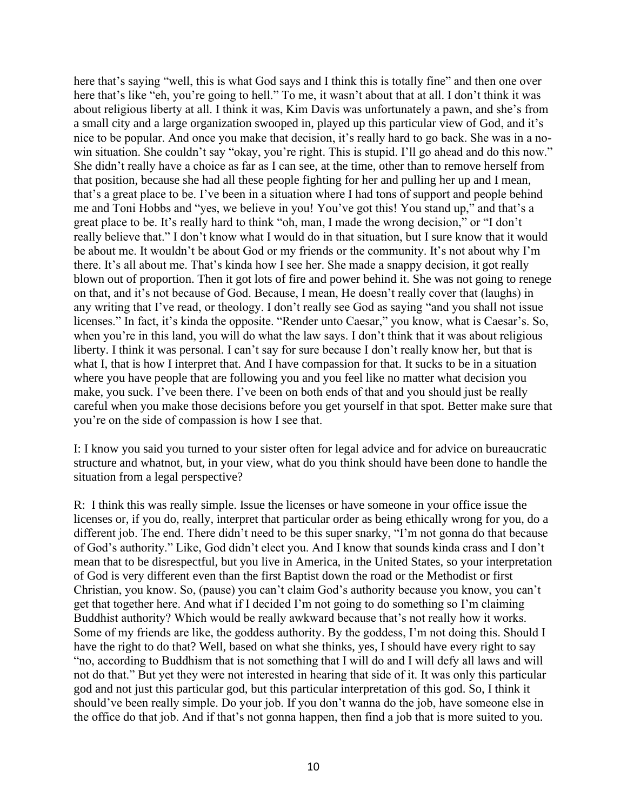here that's saying "well, this is what God says and I think this is totally fine" and then one over here that's like "eh, you're going to hell." To me, it wasn't about that at all. I don't think it was about religious liberty at all. I think it was, Kim Davis was unfortunately a pawn, and she's from a small city and a large organization swooped in, played up this particular view of God, and it's nice to be popular. And once you make that decision, it's really hard to go back. She was in a nowin situation. She couldn't say "okay, you're right. This is stupid. I'll go ahead and do this now." She didn't really have a choice as far as I can see, at the time, other than to remove herself from that position, because she had all these people fighting for her and pulling her up and I mean, that's a great place to be. I've been in a situation where I had tons of support and people behind me and Toni Hobbs and "yes, we believe in you! You've got this! You stand up," and that's a great place to be. It's really hard to think "oh, man, I made the wrong decision," or "I don't really believe that." I don't know what I would do in that situation, but I sure know that it would be about me. It wouldn't be about God or my friends or the community. It's not about why I'm there. It's all about me. That's kinda how I see her. She made a snappy decision, it got really blown out of proportion. Then it got lots of fire and power behind it. She was not going to renege on that, and it's not because of God. Because, I mean, He doesn't really cover that (laughs) in any writing that I've read, or theology. I don't really see God as saying "and you shall not issue licenses." In fact, it's kinda the opposite. "Render unto Caesar," you know, what is Caesar's. So, when you're in this land, you will do what the law says. I don't think that it was about religious liberty. I think it was personal. I can't say for sure because I don't really know her, but that is what I, that is how I interpret that. And I have compassion for that. It sucks to be in a situation where you have people that are following you and you feel like no matter what decision you make, you suck. I've been there. I've been on both ends of that and you should just be really careful when you make those decisions before you get yourself in that spot. Better make sure that you're on the side of compassion is how I see that.

I: I know you said you turned to your sister often for legal advice and for advice on bureaucratic structure and whatnot, but, in your view, what do you think should have been done to handle the situation from a legal perspective?

R: I think this was really simple. Issue the licenses or have someone in your office issue the licenses or, if you do, really, interpret that particular order as being ethically wrong for you, do a different job. The end. There didn't need to be this super snarky, "I'm not gonna do that because of God's authority." Like, God didn't elect you. And I know that sounds kinda crass and I don't mean that to be disrespectful, but you live in America, in the United States, so your interpretation of God is very different even than the first Baptist down the road or the Methodist or first Christian, you know. So, (pause) you can't claim God's authority because you know, you can't get that together here. And what if I decided I'm not going to do something so I'm claiming Buddhist authority? Which would be really awkward because that's not really how it works. Some of my friends are like, the goddess authority. By the goddess, I'm not doing this. Should I have the right to do that? Well, based on what she thinks, yes, I should have every right to say "no, according to Buddhism that is not something that I will do and I will defy all laws and will not do that." But yet they were not interested in hearing that side of it. It was only this particular god and not just this particular god, but this particular interpretation of this god. So, I think it should've been really simple. Do your job. If you don't wanna do the job, have someone else in the office do that job. And if that's not gonna happen, then find a job that is more suited to you.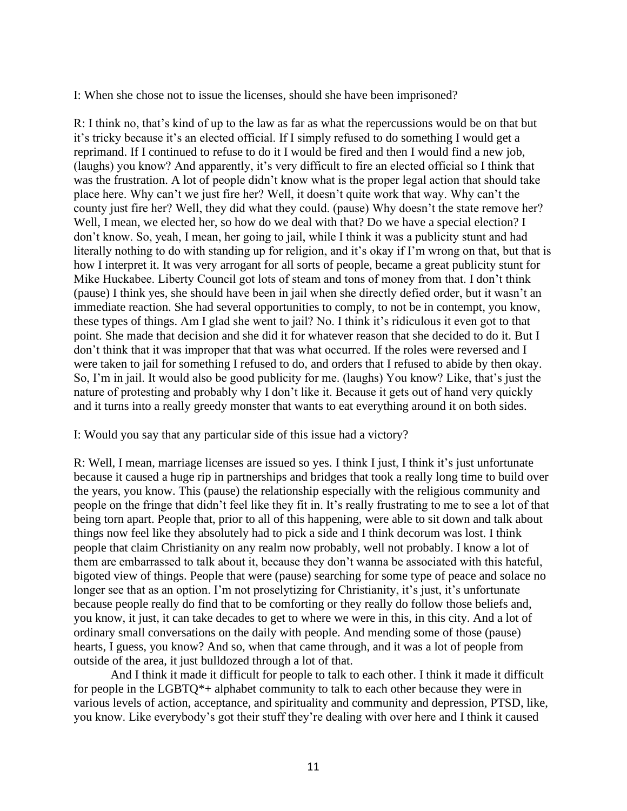I: When she chose not to issue the licenses, should she have been imprisoned?

R: I think no, that's kind of up to the law as far as what the repercussions would be on that but it's tricky because it's an elected official. If I simply refused to do something I would get a reprimand. If I continued to refuse to do it I would be fired and then I would find a new job, (laughs) you know? And apparently, it's very difficult to fire an elected official so I think that was the frustration. A lot of people didn't know what is the proper legal action that should take place here. Why can't we just fire her? Well, it doesn't quite work that way. Why can't the county just fire her? Well, they did what they could. (pause) Why doesn't the state remove her? Well, I mean, we elected her, so how do we deal with that? Do we have a special election? I don't know. So, yeah, I mean, her going to jail, while I think it was a publicity stunt and had literally nothing to do with standing up for religion, and it's okay if I'm wrong on that, but that is how I interpret it. It was very arrogant for all sorts of people, became a great publicity stunt for Mike Huckabee. Liberty Council got lots of steam and tons of money from that. I don't think (pause) I think yes, she should have been in jail when she directly defied order, but it wasn't an immediate reaction. She had several opportunities to comply, to not be in contempt, you know, these types of things. Am I glad she went to jail? No. I think it's ridiculous it even got to that point. She made that decision and she did it for whatever reason that she decided to do it. But I don't think that it was improper that that was what occurred. If the roles were reversed and I were taken to jail for something I refused to do, and orders that I refused to abide by then okay. So, I'm in jail. It would also be good publicity for me. (laughs) You know? Like, that's just the nature of protesting and probably why I don't like it. Because it gets out of hand very quickly and it turns into a really greedy monster that wants to eat everything around it on both sides.

I: Would you say that any particular side of this issue had a victory?

R: Well, I mean, marriage licenses are issued so yes. I think I just, I think it's just unfortunate because it caused a huge rip in partnerships and bridges that took a really long time to build over the years, you know. This (pause) the relationship especially with the religious community and people on the fringe that didn't feel like they fit in. It's really frustrating to me to see a lot of that being torn apart. People that, prior to all of this happening, were able to sit down and talk about things now feel like they absolutely had to pick a side and I think decorum was lost. I think people that claim Christianity on any realm now probably, well not probably. I know a lot of them are embarrassed to talk about it, because they don't wanna be associated with this hateful, bigoted view of things. People that were (pause) searching for some type of peace and solace no longer see that as an option. I'm not proselytizing for Christianity, it's just, it's unfortunate because people really do find that to be comforting or they really do follow those beliefs and, you know, it just, it can take decades to get to where we were in this, in this city. And a lot of ordinary small conversations on the daily with people. And mending some of those (pause) hearts, I guess, you know? And so, when that came through, and it was a lot of people from outside of the area, it just bulldozed through a lot of that.

And I think it made it difficult for people to talk to each other. I think it made it difficult for people in the LGBTQ\*+ alphabet community to talk to each other because they were in various levels of action, acceptance, and spirituality and community and depression, PTSD, like, you know. Like everybody's got their stuff they're dealing with over here and I think it caused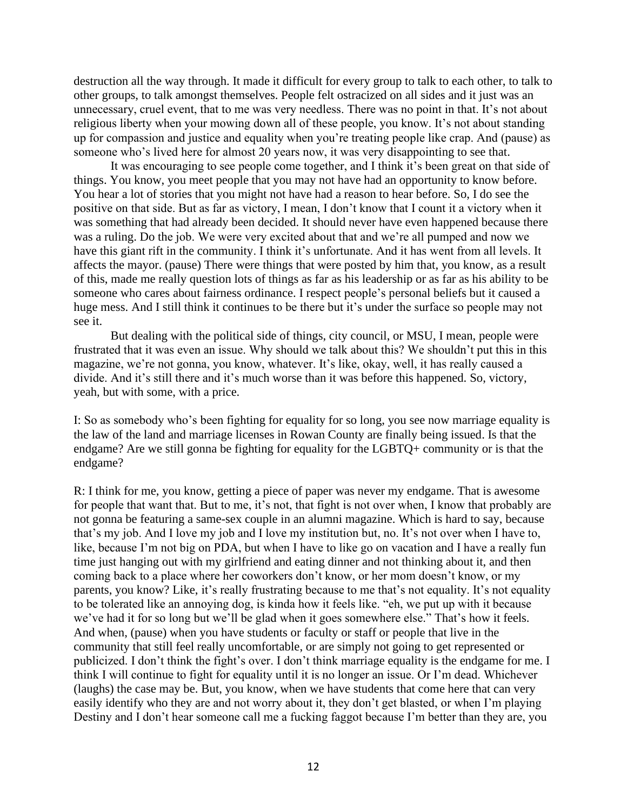destruction all the way through. It made it difficult for every group to talk to each other, to talk to other groups, to talk amongst themselves. People felt ostracized on all sides and it just was an unnecessary, cruel event, that to me was very needless. There was no point in that. It's not about religious liberty when your mowing down all of these people, you know. It's not about standing up for compassion and justice and equality when you're treating people like crap. And (pause) as someone who's lived here for almost 20 years now, it was very disappointing to see that.

It was encouraging to see people come together, and I think it's been great on that side of things. You know, you meet people that you may not have had an opportunity to know before. You hear a lot of stories that you might not have had a reason to hear before. So, I do see the positive on that side. But as far as victory, I mean, I don't know that I count it a victory when it was something that had already been decided. It should never have even happened because there was a ruling. Do the job. We were very excited about that and we're all pumped and now we have this giant rift in the community. I think it's unfortunate. And it has went from all levels. It affects the mayor. (pause) There were things that were posted by him that, you know, as a result of this, made me really question lots of things as far as his leadership or as far as his ability to be someone who cares about fairness ordinance. I respect people's personal beliefs but it caused a huge mess. And I still think it continues to be there but it's under the surface so people may not see it.

But dealing with the political side of things, city council, or MSU, I mean, people were frustrated that it was even an issue. Why should we talk about this? We shouldn't put this in this magazine, we're not gonna, you know, whatever. It's like, okay, well, it has really caused a divide. And it's still there and it's much worse than it was before this happened. So, victory, yeah, but with some, with a price.

I: So as somebody who's been fighting for equality for so long, you see now marriage equality is the law of the land and marriage licenses in Rowan County are finally being issued. Is that the endgame? Are we still gonna be fighting for equality for the LGBTQ+ community or is that the endgame?

R: I think for me, you know, getting a piece of paper was never my endgame. That is awesome for people that want that. But to me, it's not, that fight is not over when, I know that probably are not gonna be featuring a same-sex couple in an alumni magazine. Which is hard to say, because that's my job. And I love my job and I love my institution but, no. It's not over when I have to, like, because I'm not big on PDA, but when I have to like go on vacation and I have a really fun time just hanging out with my girlfriend and eating dinner and not thinking about it, and then coming back to a place where her coworkers don't know, or her mom doesn't know, or my parents, you know? Like, it's really frustrating because to me that's not equality. It's not equality to be tolerated like an annoying dog, is kinda how it feels like. "eh, we put up with it because we've had it for so long but we'll be glad when it goes somewhere else." That's how it feels. And when, (pause) when you have students or faculty or staff or people that live in the community that still feel really uncomfortable, or are simply not going to get represented or publicized. I don't think the fight's over. I don't think marriage equality is the endgame for me. I think I will continue to fight for equality until it is no longer an issue. Or I'm dead. Whichever (laughs) the case may be. But, you know, when we have students that come here that can very easily identify who they are and not worry about it, they don't get blasted, or when I'm playing Destiny and I don't hear someone call me a fucking faggot because I'm better than they are, you